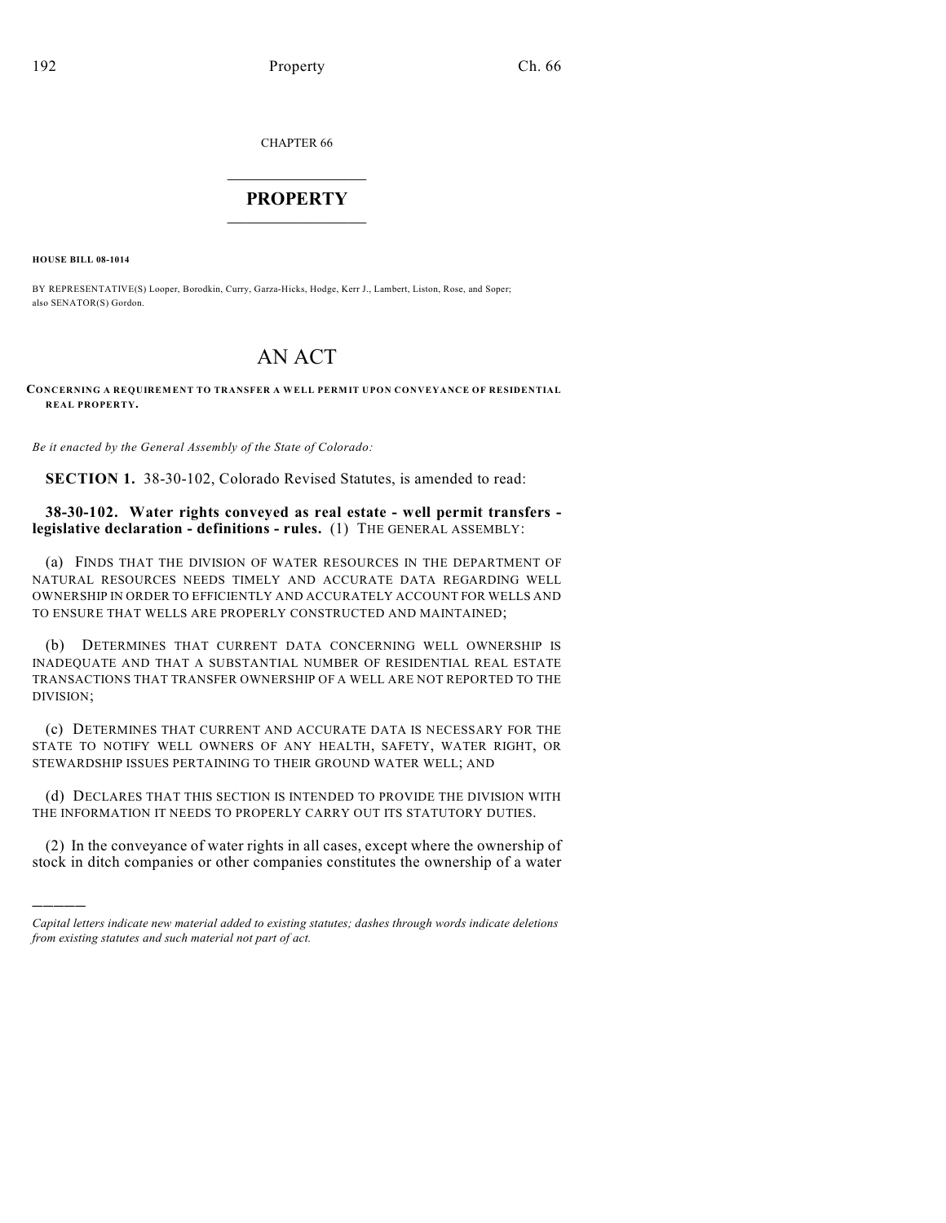CHAPTER 66

## $\mathcal{L}_\text{max}$  . The set of the set of the set of the set of the set of the set of the set of the set of the set of the set of the set of the set of the set of the set of the set of the set of the set of the set of the set **PROPERTY**  $\_$   $\_$   $\_$   $\_$   $\_$   $\_$   $\_$   $\_$   $\_$

**HOUSE BILL 08-1014**

)))))

BY REPRESENTATIVE(S) Looper, Borodkin, Curry, Garza-Hicks, Hodge, Kerr J., Lambert, Liston, Rose, and Soper; also SENATOR(S) Gordon.

## AN ACT

## **CONCERNING A REQUIREMENT TO TRANSFER A WELL PERMIT UPON CONVEYANCE OF RESIDENTIAL REAL PROPERTY.**

*Be it enacted by the General Assembly of the State of Colorado:*

**SECTION 1.** 38-30-102, Colorado Revised Statutes, is amended to read:

## **38-30-102. Water rights conveyed as real estate - well permit transfers legislative declaration - definitions - rules.** (1) THE GENERAL ASSEMBLY:

(a) FINDS THAT THE DIVISION OF WATER RESOURCES IN THE DEPARTMENT OF NATURAL RESOURCES NEEDS TIMELY AND ACCURATE DATA REGARDING WELL OWNERSHIP IN ORDER TO EFFICIENTLY AND ACCURATELY ACCOUNT FOR WELLS AND TO ENSURE THAT WELLS ARE PROPERLY CONSTRUCTED AND MAINTAINED;

(b) DETERMINES THAT CURRENT DATA CONCERNING WELL OWNERSHIP IS INADEQUATE AND THAT A SUBSTANTIAL NUMBER OF RESIDENTIAL REAL ESTATE TRANSACTIONS THAT TRANSFER OWNERSHIP OF A WELL ARE NOT REPORTED TO THE DIVISION;

(c) DETERMINES THAT CURRENT AND ACCURATE DATA IS NECESSARY FOR THE STATE TO NOTIFY WELL OWNERS OF ANY HEALTH, SAFETY, WATER RIGHT, OR STEWARDSHIP ISSUES PERTAINING TO THEIR GROUND WATER WELL; AND

(d) DECLARES THAT THIS SECTION IS INTENDED TO PROVIDE THE DIVISION WITH THE INFORMATION IT NEEDS TO PROPERLY CARRY OUT ITS STATUTORY DUTIES.

(2) In the conveyance of water rights in all cases, except where the ownership of stock in ditch companies or other companies constitutes the ownership of a water

*Capital letters indicate new material added to existing statutes; dashes through words indicate deletions from existing statutes and such material not part of act.*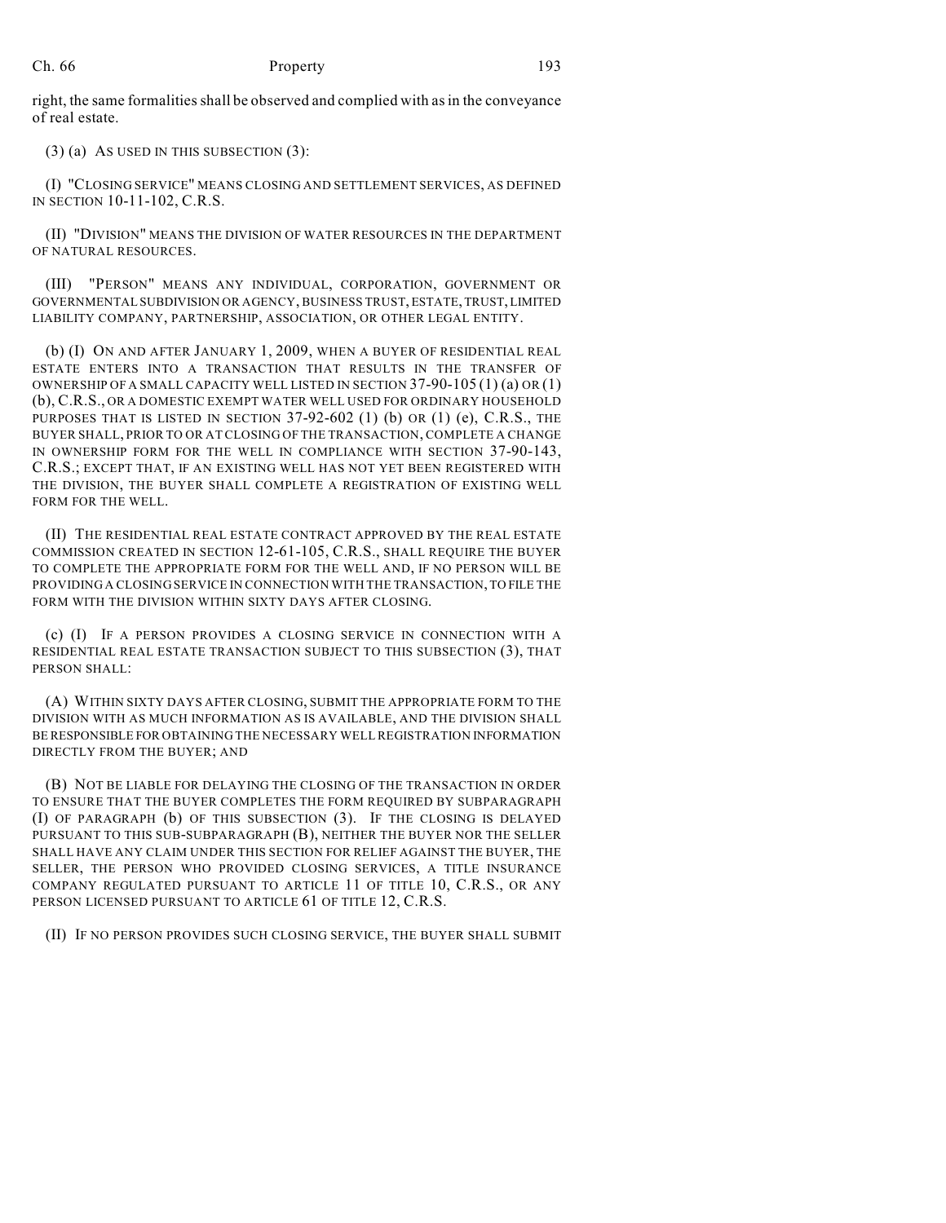right, the same formalities shall be observed and complied with as in the conveyance of real estate.

(3) (a) AS USED IN THIS SUBSECTION (3):

(I) "CLOSING SERVICE" MEANS CLOSING AND SETTLEMENT SERVICES, AS DEFINED IN SECTION 10-11-102, C.R.S.

(II) "DIVISION" MEANS THE DIVISION OF WATER RESOURCES IN THE DEPARTMENT OF NATURAL RESOURCES.

(III) "PERSON" MEANS ANY INDIVIDUAL, CORPORATION, GOVERNMENT OR GOVERNMENTAL SUBDIVISION OR AGENCY, BUSINESS TRUST, ESTATE, TRUST, LIMITED LIABILITY COMPANY, PARTNERSHIP, ASSOCIATION, OR OTHER LEGAL ENTITY.

(b) (I) ON AND AFTER JANUARY 1, 2009, WHEN A BUYER OF RESIDENTIAL REAL ESTATE ENTERS INTO A TRANSACTION THAT RESULTS IN THE TRANSFER OF OWNERSHIP OF A SMALL CAPACITY WELL LISTED IN SECTION 37-90-105 (1) (a) OR (1) (b), C.R.S., OR A DOMESTIC EXEMPT WATER WELL USED FOR ORDINARY HOUSEHOLD PURPOSES THAT IS LISTED IN SECTION  $37-92-602$  (1) (b) OR (1) (e), C.R.S., THE BUYER SHALL, PRIOR TO OR AT CLOSING OF THE TRANSACTION, COMPLETE A CHANGE IN OWNERSHIP FORM FOR THE WELL IN COMPLIANCE WITH SECTION 37-90-143, C.R.S.; EXCEPT THAT, IF AN EXISTING WELL HAS NOT YET BEEN REGISTERED WITH THE DIVISION, THE BUYER SHALL COMPLETE A REGISTRATION OF EXISTING WELL FORM FOR THE WELL.

(II) THE RESIDENTIAL REAL ESTATE CONTRACT APPROVED BY THE REAL ESTATE COMMISSION CREATED IN SECTION 12-61-105, C.R.S., SHALL REQUIRE THE BUYER TO COMPLETE THE APPROPRIATE FORM FOR THE WELL AND, IF NO PERSON WILL BE PROVIDING A CLOSING SERVICE IN CONNECTION WITH THE TRANSACTION, TO FILE THE FORM WITH THE DIVISION WITHIN SIXTY DAYS AFTER CLOSING.

(c) (I) IF A PERSON PROVIDES A CLOSING SERVICE IN CONNECTION WITH A RESIDENTIAL REAL ESTATE TRANSACTION SUBJECT TO THIS SUBSECTION (3), THAT PERSON SHALL:

(A) WITHIN SIXTY DAYS AFTER CLOSING, SUBMIT THE APPROPRIATE FORM TO THE DIVISION WITH AS MUCH INFORMATION AS IS AVAILABLE, AND THE DIVISION SHALL BE RESPONSIBLE FOR OBTAINING THE NECESSARY WELL REGISTRATION INFORMATION DIRECTLY FROM THE BUYER; AND

(B) NOT BE LIABLE FOR DELAYING THE CLOSING OF THE TRANSACTION IN ORDER TO ENSURE THAT THE BUYER COMPLETES THE FORM REQUIRED BY SUBPARAGRAPH (I) OF PARAGRAPH (b) OF THIS SUBSECTION (3). IF THE CLOSING IS DELAYED PURSUANT TO THIS SUB-SUBPARAGRAPH (B), NEITHER THE BUYER NOR THE SELLER SHALL HAVE ANY CLAIM UNDER THIS SECTION FOR RELIEF AGAINST THE BUYER, THE SELLER, THE PERSON WHO PROVIDED CLOSING SERVICES, A TITLE INSURANCE COMPANY REGULATED PURSUANT TO ARTICLE 11 OF TITLE 10, C.R.S., OR ANY PERSON LICENSED PURSUANT TO ARTICLE 61 OF TITLE 12, C.R.S.

(II) IF NO PERSON PROVIDES SUCH CLOSING SERVICE, THE BUYER SHALL SUBMIT